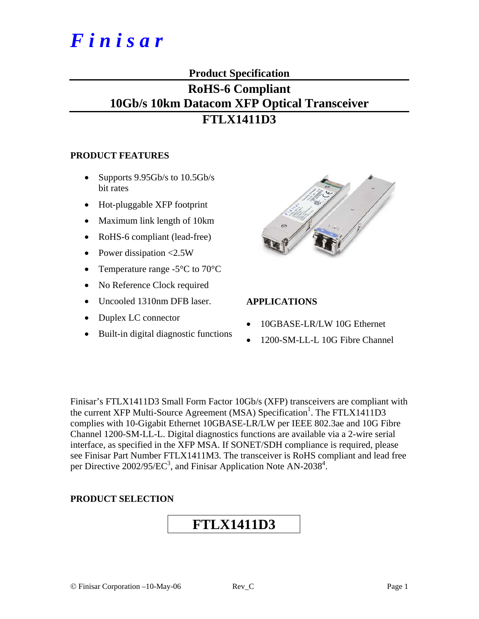# *F i n i s a r*

#### **Product Specification**

### **RoHS-6 Compliant 10Gb/s 10km Datacom XFP Optical Transceiver FTLX1411D3**

#### **PRODUCT FEATURES**

- Supports  $9.95Gb/s$  to  $10.5Gb/s$ bit rates
- Hot-pluggable XFP footprint
- Maximum link length of 10km
- RoHS-6 compliant (lead-free)
- Power dissipation <2.5W
- Temperature range -5<sup>o</sup>C to 70<sup>o</sup>C
- No Reference Clock required
- Uncooled 1310nm DFB laser.
- Duplex LC connector
- Built-in digital diagnostic functions



#### **APPLICATIONS**

- 10GBASE-LR/LW 10G Ethernet
- 1200-SM-LL-L 10G Fibre Channel

Finisar's FTLX1411D3 Small Form Factor 10Gb/s (XFP) transceivers are compliant with the current XFP Multi-Source Agreement (MSA) Specification<sup>1</sup>. The FTLX1411D3 complies with 10-Gigabit Ethernet 10GBASE-LR/LW per IEEE 802.3ae and 10G Fibre Channel 1200-SM-LL-L. Digital diagnostics functions are available via a 2-wire serial interface, as specified in the XFP MSA. If SONET/SDH compliance is required, please see Finisar Part Number FTLX1411M3. The transceiver is RoHS compliant and lead free per Directive 2002/95/EC<sup>3</sup>, and Finisar Application Note AN-2038<sup>4</sup>.

#### **PRODUCT SELECTION**

## **FTLX1411D3**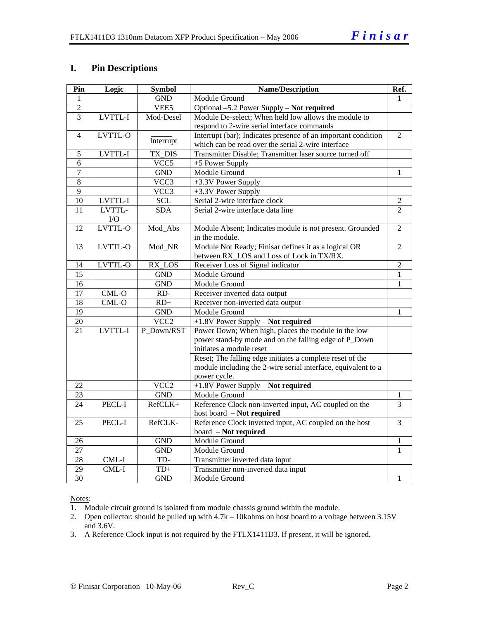#### **I. Pin Descriptions**

| Pin             | Logic    | <b>Symbol</b>      | <b>Name/Description</b>                                       | Ref.           |
|-----------------|----------|--------------------|---------------------------------------------------------------|----------------|
| 1               |          | <b>GND</b>         | Module Ground                                                 | 1              |
| $\overline{2}$  |          | VEE5               | Optional -5.2 Power Supply - Not required                     |                |
| 3               | LVTTL-I  | Mod-Desel          | Module De-select; When held low allows the module to          |                |
|                 |          |                    | respond to 2-wire serial interface commands                   |                |
| $\overline{4}$  | LVTTL-O  |                    | Interrupt (bar); Indicates presence of an important condition | $\overline{2}$ |
|                 |          | Interrupt          | which can be read over the serial 2-wire interface            |                |
| 5               | LVTTL-I  | TX DIS             | Transmitter Disable; Transmitter laser source turned off      |                |
| 6               |          | $\overline{VCC}$ 5 | +5 Power Supply                                               |                |
| $\overline{7}$  |          | <b>GND</b>         | Module Ground                                                 | 1              |
| 8               |          | $\overline{VCC}$ 3 | +3.3V Power Supply                                            |                |
| $\overline{9}$  |          | VCC3               | +3.3V Power Supply                                            |                |
| 10              | LVTTL-I  | <b>SCL</b>         | Serial 2-wire interface clock                                 | $\overline{2}$ |
| 11              | LVTTL-   | <b>SDA</b>         | Serial 2-wire interface data line                             | $\overline{2}$ |
|                 | $\rm LO$ |                    |                                                               |                |
| $\overline{12}$ | LVTTL-O  | Mod_Abs            | Module Absent; Indicates module is not present. Grounded      | $\overline{2}$ |
|                 |          |                    | in the module.                                                |                |
| 13              | LVTTL-O  | Mod_NR             | Module Not Ready; Finisar defines it as a logical OR          | $\overline{2}$ |
|                 |          |                    | between RX_LOS and Loss of Lock in TX/RX.                     |                |
| 14              | LVTTL-O  | RX_LOS             | Receiver Loss of Signal indicator                             | $\overline{2}$ |
| 15              |          | <b>GND</b>         | Module Ground                                                 | $\mathbf{1}$   |
| 16              |          | <b>GND</b>         | Module Ground                                                 | 1              |
| $\overline{17}$ | CML-O    | RD-                | Receiver inverted data output                                 |                |
| 18              | $CML-O$  | $RD+$              | Receiver non-inverted data output                             |                |
| $\overline{19}$ |          | <b>GND</b>         | Module Ground                                                 | 1              |
| 20              |          | VCC <sub>2</sub>   | +1.8V Power Supply - Not required                             |                |
| 21              | LVTTL-I  | P Down/RST         | Power Down; When high, places the module in the low           |                |
|                 |          |                    | power stand-by mode and on the falling edge of P_Down         |                |
|                 |          |                    | initiates a module reset                                      |                |
|                 |          |                    | Reset; The falling edge initiates a complete reset of the     |                |
|                 |          |                    | module including the 2-wire serial interface, equivalent to a |                |
|                 |          |                    | power cycle.                                                  |                |
| 22              |          | VCC <sub>2</sub>   | +1.8V Power Supply - Not required                             |                |
| 23              |          | <b>GND</b>         | Module Ground                                                 | $\mathbf{1}$   |
| 24              | PECL-I   | RefCLK+            | Reference Clock non-inverted input, AC coupled on the         | $\overline{3}$ |
|                 |          |                    | host board - Not required                                     |                |
| 25              | PECL-I   | RefCLK-            | Reference Clock inverted input, AC coupled on the host        | 3              |
|                 |          |                    | board - Not required                                          |                |
| 26              |          | <b>GND</b>         | Module Ground                                                 | $\mathbf{1}$   |
| 27              |          | <b>GND</b>         | Module Ground                                                 | 1              |
| 28              | CML-I    | TD-                | Transmitter inverted data input                               |                |
| 29              | CML-I    | $\mbox{T} D+$      | Transmitter non-inverted data input                           |                |
| $\overline{30}$ |          | <b>GND</b>         | Module Ground                                                 | 1              |

Notes:

1. Module circuit ground is isolated from module chassis ground within the module.

2. Open collector; should be pulled up with 4.7k – 10kohms on host board to a voltage between 3.15V and 3.6V.

3. A Reference Clock input is not required by the FTLX1411D3. If present, it will be ignored.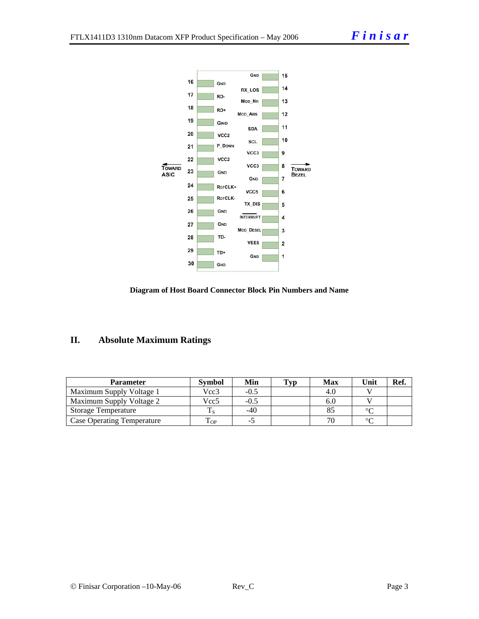



#### **II. Absolute Maximum Ratings**

| <b>Parameter</b>                  | <b>Symbol</b>        | Min  | Typ | <b>Max</b> | Unit   | Ref. |
|-----------------------------------|----------------------|------|-----|------------|--------|------|
| Maximum Supply Voltage 1          | Vcc3                 | -0.5 |     | 4.0        |        |      |
| Maximum Supply Voltage 2          | Vcc5                 | -0.5 |     | 0.U        |        |      |
| <b>Storage Temperature</b>        |                      | -40  |     |            | $\sim$ |      |
| <b>Case Operating Temperature</b> | $\mathbf{r}$<br>L OP |      |     |            | ∼      |      |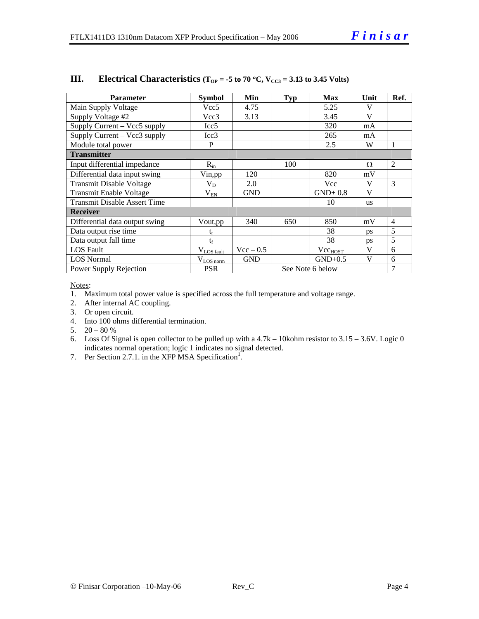| <b>Parameter</b>                    | <b>Symbol</b>          | Min              | <b>Typ</b> | <b>Max</b>          | Unit      | Ref.           |
|-------------------------------------|------------------------|------------------|------------|---------------------|-----------|----------------|
| Main Supply Voltage                 | Vcc5                   | 4.75             |            | 5.25                | V         |                |
| Supply Voltage #2                   | Vcc3                   | 3.13             |            | 3.45                | V         |                |
| Supply Current - Vcc5 supply        | Icc <sub>5</sub>       |                  |            | 320                 | mA        |                |
| Supply Current – Vcc3 supply        | Icc3                   |                  |            | 265                 | mA        |                |
| Module total power                  | P                      |                  |            | 2.5                 | W         | 1              |
| <b>Transmitter</b>                  |                        |                  |            |                     |           |                |
| Input differential impedance        | $R_{in}$               |                  | 100        |                     | Ω         | 2              |
| Differential data input swing       | Vin, pp                | 120              |            | 820                 | mV        |                |
| <b>Transmit Disable Voltage</b>     | $V_D$                  | 2.0              |            | Vcc                 | V         | 3              |
| <b>Transmit Enable Voltage</b>      | $\rm V_{EN}$           | <b>GND</b>       |            | $GND+0.8$           | V         |                |
| <b>Transmit Disable Assert Time</b> |                        |                  |            | 10                  | <b>us</b> |                |
| <b>Receiver</b>                     |                        |                  |            |                     |           |                |
| Differential data output swing      | Vout,pp                | 340              | 650        | 850                 | mV        | $\overline{4}$ |
| Data output rise time               | $\mathfrak{t}_{\rm r}$ |                  |            | 38                  | ps        | 5              |
| Data output fall time               | $t_{\rm f}$            |                  |            | 38                  | ps        | 5              |
| <b>LOS</b> Fault                    | $V_{LOS$ fault         | $Vec - 0.5$      |            | Vcc <sub>HOST</sub> | V         | 6              |
| <b>LOS</b> Normal                   | $V_{LQS norm}$         | <b>GND</b>       |            | $GND+0.5$           | V         | 6              |
| Power Supply Rejection              | <b>PSR</b>             | See Note 6 below |            |                     | 7         |                |

#### **III.** Electrical Characteristics ( $T_{OP} = -5$  to 70 °C,  $V_{CC3} = 3.13$  to 3.45 Volts)

Notes:

1. Maximum total power value is specified across the full temperature and voltage range.

- 2. After internal AC coupling.
- 3. Or open circuit.
- 4. Into 100 ohms differential termination.
- 5.  $20 80 %$
- 6. Loss Of Signal is open collector to be pulled up with a 4.7k 10kohm resistor to 3.15 3.6V. Logic 0 indicates normal operation; logic 1 indicates no signal detected.
- 7. Per Section 2.7.1. in the XFP MSA Specification<sup>1</sup>.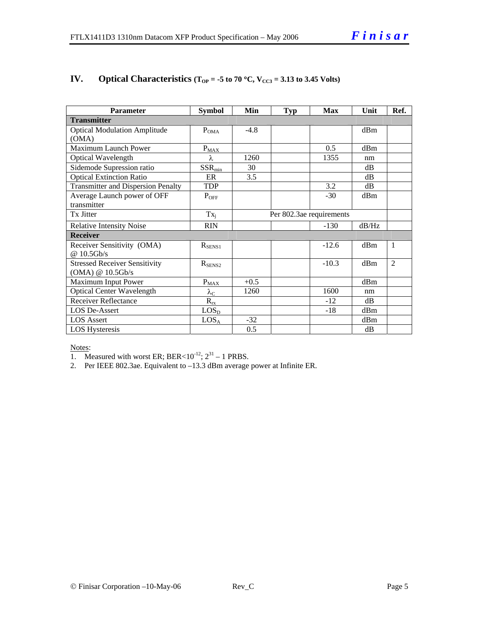| <b>Parameter</b>                          | <b>Symbol</b>      | Min    | <b>Typ</b> | <b>Max</b>               | Unit  | Ref.           |
|-------------------------------------------|--------------------|--------|------------|--------------------------|-------|----------------|
| <b>Transmitter</b>                        |                    |        |            |                          |       |                |
| <b>Optical Modulation Amplitude</b>       | $P_{OMA}$          | $-4.8$ |            |                          | dBm   |                |
| (OMA)                                     |                    |        |            |                          |       |                |
| Maximum Launch Power                      | $P_{MAX}$          |        |            | 0.5                      | dRm   |                |
| Optical Wavelength                        | $\lambda$ .        | 1260   |            | 1355                     | nm    |                |
| Sidemode Supression ratio                 | $SSR_{min}$        | 30     |            |                          | dB    |                |
| <b>Optical Extinction Ratio</b>           | ER                 | 3.5    |            |                          | dB    |                |
| <b>Transmitter and Dispersion Penalty</b> | <b>TDP</b>         |        |            | 3.2                      | dB    |                |
| Average Launch power of OFF               | $P_{OFF}$          |        |            | $-30$                    | dBm   |                |
| transmitter                               |                    |        |            |                          |       |                |
| Tx Jitter                                 | $Tx_i$             |        |            | Per 802.3ae requirements |       |                |
| <b>Relative Intensity Noise</b>           | <b>RIN</b>         |        |            | $-130$                   | dB/Hz |                |
| <b>Receiver</b>                           |                    |        |            |                          |       |                |
| Receiver Sensitivity (OMA)                | $R_{SENS1}$        |        |            | $-12.6$                  | dBm   | 1              |
| @ 10.5Gb/s                                |                    |        |            |                          |       |                |
| <b>Stressed Receiver Sensitivity</b>      | $R_{\text{SENS2}}$ |        |            | $-10.3$                  | dBm   | $\overline{2}$ |
| (OMA) @ 10.5Gb/s                          |                    |        |            |                          |       |                |
| Maximum Input Power                       | $P_{MAX}$          | $+0.5$ |            |                          | dBm   |                |
| <b>Optical Center Wavelength</b>          | $\lambda_{\rm C}$  | 1260   |            | 1600                     | nm    |                |
| <b>Receiver Reflectance</b>               | $R_{rx}$           |        |            | $-12$                    | dB    |                |
| <b>LOS De-Assert</b>                      | LOS <sub>D</sub>   |        |            | $-18$                    | dBm   |                |
| <b>LOS Assert</b>                         | $LOS_A$            | $-32$  |            |                          | dBm   |                |
| <b>LOS Hysteresis</b>                     |                    | 0.5    |            |                          | dB    |                |

#### **IV.** Optical Characteristics ( $T_{OP} = -5$  to 70 °C,  $V_{CC3} = 3.13$  to 3.45 Volts)

#### Notes:

1. Measured with worst ER; BER<10<sup>-12</sup>;  $2^{31}$  – 1 PRBS.

2. Per IEEE 802.3ae. Equivalent to –13.3 dBm average power at Infinite ER.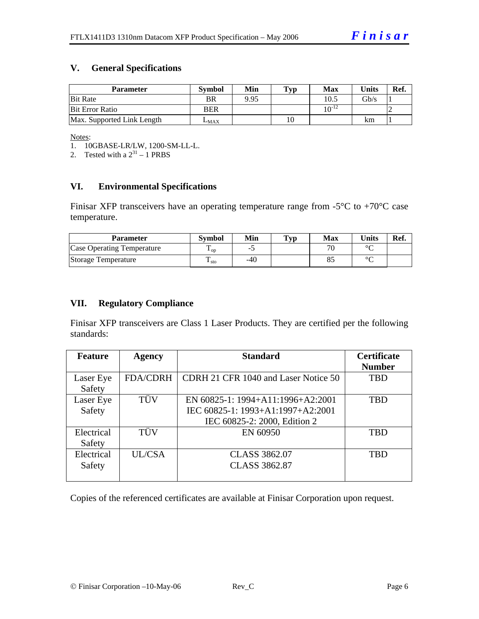#### **V. General Specifications**

| <b>Parameter</b>           | <b>Symbol</b> | Min  | Typ | Max         | Units           | Ref. |
|----------------------------|---------------|------|-----|-------------|-----------------|------|
| <b>Bit Rate</b>            | BR            | 9.95 |     | 10.5        | $\mathrm{Gb/s}$ |      |
| <b>Bit Error Ratio</b>     | <b>BER</b>    |      |     | 1 $0^{-12}$ |                 |      |
| Max. Supported Link Length | $L_{MAX}$     |      | 10  |             | km              |      |

Notes:

1. 10GBASE-LR/LW, 1200-SM-LL-L.

2. Tested with a  $2^{31} - 1$  PRBS

#### **VI. Environmental Specifications**

Finisar XFP transceivers have an operating temperature range from  $-5^{\circ}C$  to  $+70^{\circ}C$  case temperature.

| Parameter                         | Svmbol            | Min   | $\mathbf{T}_{\mathbf{V}\mathbf{p}}$ | Max | Units   | Ref. |
|-----------------------------------|-------------------|-------|-------------------------------------|-----|---------|------|
| <b>Case Operating Temperature</b> | $\mathbf{L}_{OD}$ | -     |                                     |     | $\sim$  |      |
| Storage Temperature               | m<br>$\pm$ sto    | $-40$ |                                     |     | $\circ$ |      |

#### **VII. Regulatory Compliance**

Finisar XFP transceivers are Class 1 Laser Products. They are certified per the following standards:

| <b>Feature</b> | <b>Agency</b>   | <b>Standard</b>                      | <b>Certificate</b> |
|----------------|-----------------|--------------------------------------|--------------------|
|                |                 |                                      | <b>Number</b>      |
| Laser Eye      | <b>FDA/CDRH</b> | CDRH 21 CFR 1040 and Laser Notice 50 | <b>TBD</b>         |
| Safety         |                 |                                      |                    |
| Laser Eye      | TÜV             | EN 60825-1: 1994+A11:1996+A2:2001    | TBD                |
| Safety         |                 | IEC 60825-1: 1993+A1:1997+A2:2001    |                    |
|                |                 | IEC 60825-2: 2000, Edition 2         |                    |
| Electrical     | TÜV             | EN 60950                             | <b>TBD</b>         |
| Safety         |                 |                                      |                    |
| Electrical     | UL/CSA          | <b>CLASS 3862.07</b>                 | TBD                |
| Safety         |                 | <b>CLASS 3862.87</b>                 |                    |
|                |                 |                                      |                    |

Copies of the referenced certificates are available at Finisar Corporation upon request.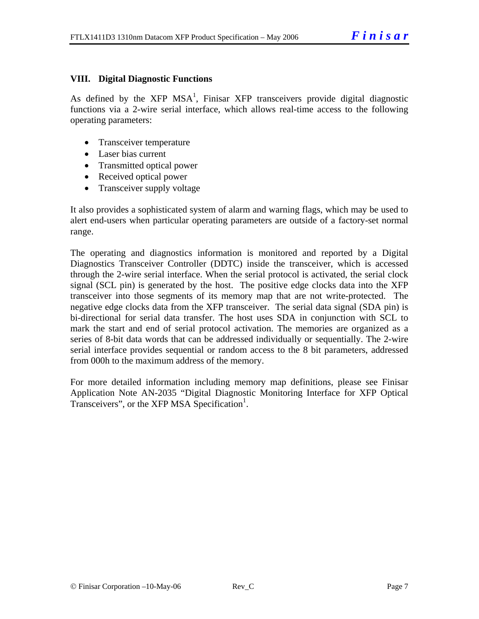#### **VIII. Digital Diagnostic Functions**

As defined by the XFP MSA<sup>1</sup>, Finisar XFP transceivers provide digital diagnostic functions via a 2-wire serial interface, which allows real-time access to the following operating parameters:

- Transceiver temperature
- Laser bias current
- Transmitted optical power
- Received optical power
- Transceiver supply voltage

It also provides a sophisticated system of alarm and warning flags, which may be used to alert end-users when particular operating parameters are outside of a factory-set normal range.

The operating and diagnostics information is monitored and reported by a Digital Diagnostics Transceiver Controller (DDTC) inside the transceiver, which is accessed through the 2-wire serial interface. When the serial protocol is activated, the serial clock signal (SCL pin) is generated by the host. The positive edge clocks data into the XFP transceiver into those segments of its memory map that are not write-protected. The negative edge clocks data from the XFP transceiver. The serial data signal (SDA pin) is bi-directional for serial data transfer. The host uses SDA in conjunction with SCL to mark the start and end of serial protocol activation. The memories are organized as a series of 8-bit data words that can be addressed individually or sequentially. The 2-wire serial interface provides sequential or random access to the 8 bit parameters, addressed from 000h to the maximum address of the memory.

For more detailed information including memory map definitions, please see Finisar Application Note AN-2035 "Digital Diagnostic Monitoring Interface for XFP Optical Transceivers", or the XFP MSA Specification<sup>1</sup>.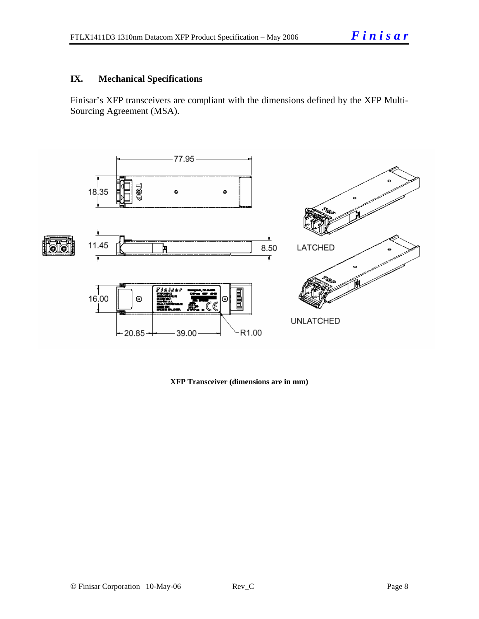#### **IX. Mechanical Specifications**

Finisar's XFP transceivers are compliant with the dimensions defined by the XFP Multi-Sourcing Agreement (MSA).



**XFP Transceiver (dimensions are in mm)**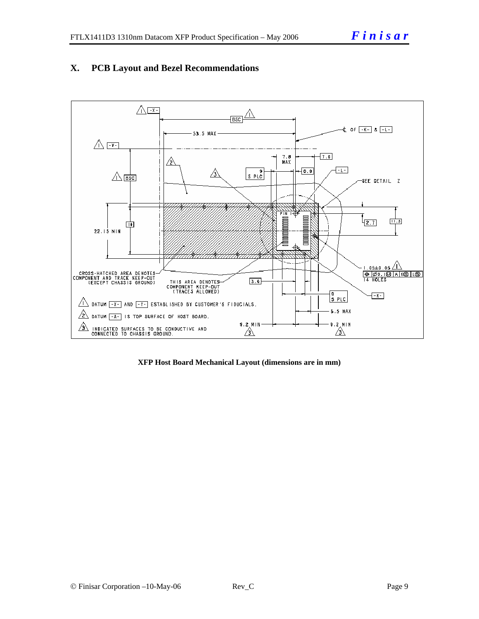#### **X. PCB Layout and Bezel Recommendations**



**XFP Host Board Mechanical Layout (dimensions are in mm)**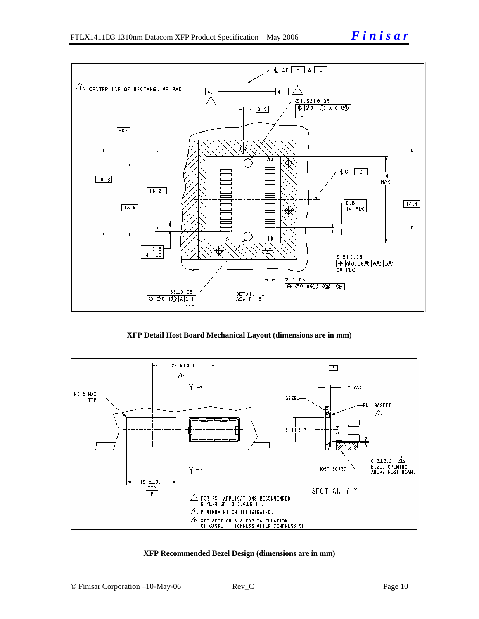

**XFP Detail Host Board Mechanical Layout (dimensions are in mm)** 



#### **XFP Recommended Bezel Design (dimensions are in mm)**